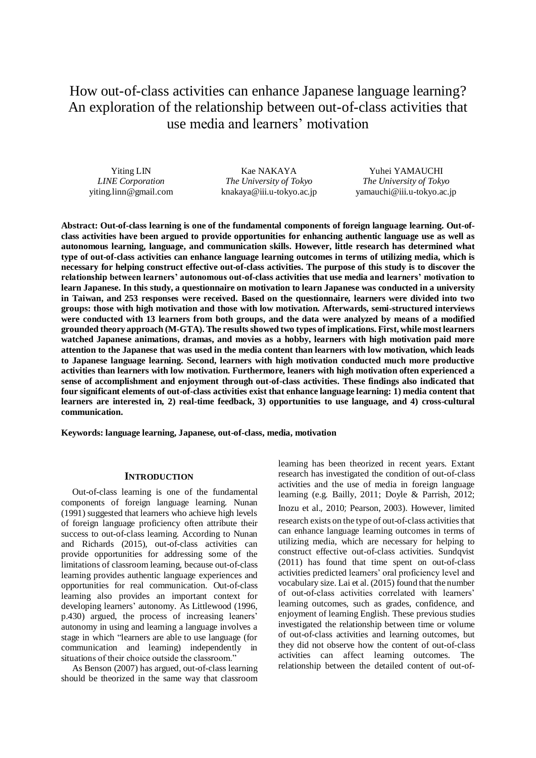How out-of-class activities can enhance Japanese language learning? An exploration of the relationship between out-of-class activities that use media and learners' motivation

Yiting LIN *LINE Corporation* yiting.linn@gmail.com

Kae NAKAYA *The University of Tokyo* knakaya@iii.u-tokyo.ac.jp

Yuhei YAMAUCHI *The University of Tokyo* yamauchi@iii.u-tokyo.ac.jp

**Abstract: Out-of-class learning is one of the fundamental components of foreign language learning. Out-ofclass activities have been argued to provide opportunities for enhancing authentic language use as well as autonomous learning, language, and communication skills. However, little research has determined what type of out-of-class activities can enhance language learning outcomes in terms of utilizing media, which is necessary for helping construct effective out-of-class activities. The purpose of this study is to discover the relationship between learners' autonomous out-of-class activities that use media and learners' motivation to learn Japanese. In this study, a questionnaire on motivation to learn Japanese was conducted in a university in Taiwan, and 253 responses were received. Based on the questionnaire, learners were divided into two groups: those with high motivation and those with low motivation. Afterwards, semi-structured interviews were conducted with 13 learners from both groups, and the data were analyzed by means of a modified grounded theory approach (M-GTA). The results showed two types of implications. First, while most learners watched Japanese animations, dramas, and movies as a hobby, learners with high motivation paid more attention to the Japanese that was used in the media content than learners with low motivation, which leads to Japanese language learning. Second, learners with high motivation conducted much more productive activities than learners with low motivation. Furthermore, leaners with high motivation often experienced a sense of accomplishment and enjoyment through out-of-class activities. These findings also indicated that four significant elements of out-of-class activities exist that enhance language learning: 1) media content that learners are interested in, 2) real-time feedback, 3) opportunities to use language, and 4) cross-cultural communication.** 

**Keywords: language learning, Japanese, out-of-class, media, motivation**

### **INTRODUCTION**

Out-of-class learning is one of the fundamental components of foreign language learning. Nunan (1991) suggested that learners who achieve high levels of foreign language proficiency often attribute their success to out-of-class learning. According to Nunan and Richards (2015), out-of-class activities can provide opportunities for addressing some of the limitations of classroom learning, because out-of-class learning provides authentic language experiences and opportunities for real communication. Out-of-class learning also provides an important context for developing learners' autonomy. As Littlewood (1996, p.430) argued, the process of increasing leaners' autonomy in using and learning a language involves a stage in which "learners are able to use language (for communication and learning) independently in situations of their choice outside the classroom."

As Benson (2007) has argued, out-of-class learning should be theorized in the same way that classroom learning has been theorized in recent years. Extant research has investigated the condition of out-of-class activities and the use of media in foreign language learning (e.g. Bailly, 2011; Doyle & Parrish, 2012; Inozu et al., 2010; Pearson, 2003). However, limited research exists on the type of out-of-class activities that can enhance language learning outcomes in terms of utilizing media, which are necessary for helping to construct effective out-of-class activities. Sundqvist (2011) has found that time spent on out-of-class activities predicted learners' oral proficiency level and vocabulary size. Lai et al. (2015) found that the number of out-of-class activities correlated with learners' learning outcomes, such as grades, confidence, and enjoyment of learning English. These previous studies investigated the relationship between time or volume of out-of-class activities and learning outcomes, but they did not observe how the content of out-of-class activities can affect learning outcomes. The relationship between the detailed content of out-of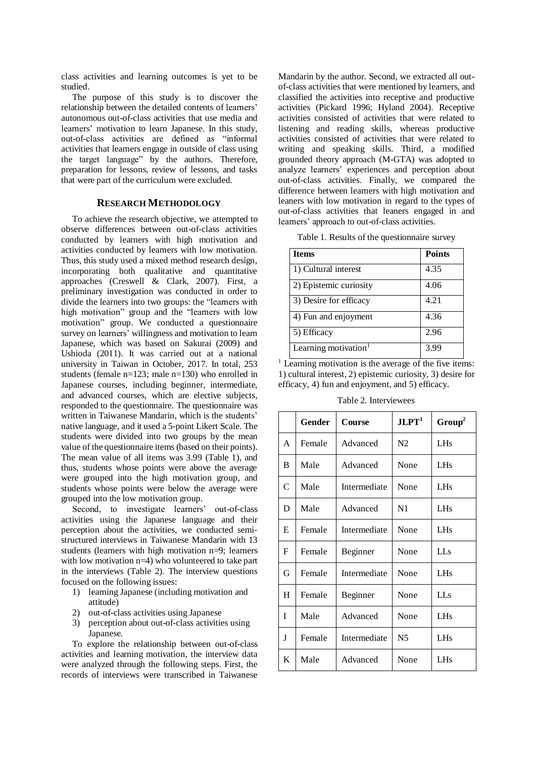class activities and learning outcomes is yet to be studied.

The purpose of this study is to discover the relationship between the detailed contents of learners' autonomous out-of-class activities that use media and learners' motivation to learn Japanese. In this study, out-of-class activities are defined as "informal activities that learners engage in outside of class using the target language" by the authors. Therefore, preparation for lessons, review of lessons, and tasks that were part of the curriculum were excluded.

## **RESEARCH METHODOLOGY**

To achieve the research objective, we attempted to observe differences between out-of-class activities conducted by learners with high motivation and activities conducted by learners with low motivation. Thus, this study used a mixed method research design, incorporating both qualitative and quantitative approaches (Creswell & Clark, 2007). First, a preliminary investigation was conducted in order to divide the learners into two groups: the "learners with high motivation" group and the "learners with low motivation" group. We conducted a questionnaire survey on learners' willingness and motivation to learn Japanese, which was based on Sakurai (2009) and Ushioda (2011). It was carried out at a national university in Taiwan in October, 2017. In total, 253 students (female n=123; male n=130) who enrolled in Japanese courses, including beginner, intermediate, and advanced courses, which are elective subjects, responded to the questionnaire. The questionnaire was written in Taiwanese Mandarin, which is the students' native language, and it used a 5-point Likert Scale. The students were divided into two groups by the mean value of the questionnaire items (based on their points). The mean value of all items was 3.99 (Table 1), and thus, students whose points were above the average were grouped into the high motivation group, and students whose points were below the average were grouped into the low motivation group.

Second, to investigate learners' out-of-class activities using the Japanese language and their perception about the activities, we conducted semistructured interviews in Taiwanese Mandarin with 13 students (learners with high motivation n=9; learners with low motivation  $n=4$ ) who volunteered to take part in the interviews (Table 2). The interview questions focused on the following issues:

- 1) learning Japanese (including motivation and attitude)
- 2) out-of-class activities using Japanese
- 3) perception about out-of-class activities using Japanese.

To explore the relationship between out-of-class activities and learning motivation, the interview data were analyzed through the following steps. First, the records of interviews were transcribed in Taiwanese Mandarin by the author. Second, we extracted all outof-class activities that were mentioned by learners, and classified the activities into receptive and productive activities (Pickard 1996; Hyland 2004). Receptive activities consisted of activities that were related to listening and reading skills, whereas productive activities consisted of activities that were related to writing and speaking skills. Third, a modified grounded theory approach (M-GTA) was adopted to analyze learners' experiences and perception about out-of-class activities. Finally, we compared the difference between learners with high motivation and leaners with low motivation in regard to the types of out-of-class activities that leaners engaged in and learners' approach to out-of-class activities.

Table 1. Results of the questionnaire survey

| <b>Items</b>                     | <b>Points</b> |
|----------------------------------|---------------|
| 1) Cultural interest             | 4.35          |
| 2) Epistemic curiosity           | 4.06          |
| 3) Desire for efficacy           | 4.21          |
| 4) Fun and enjoyment             | 4.36          |
| 5) Efficacy                      | 2.96          |
| Learning motivation <sup>1</sup> | 3.99          |

 $1$  Learning motivation is the average of the five items: 1) cultural interest, 2) epistemic curiosity, 3) desire for efficacy, 4) fun and enjoyment, and 5) efficacy.

Table 2. Interviewees

|              | <b>Gender</b> | <b>Course</b> | JLPT <sup>1</sup> | Group <sup>2</sup> |
|--------------|---------------|---------------|-------------------|--------------------|
| $\mathsf{A}$ | Female        | Advanced      | N2                | <b>LHs</b>         |
| B            | Male          | Advanced      | None              | <b>LHs</b>         |
| $\mathsf{C}$ | Male          | Intermediate  | None              | LHs                |
| D            | Male          | Advanced      | N1                | LHs                |
| E            | Female        | Intermediate  | None              | LHs                |
| F            | Female        | Beginner      | None              | LLs                |
| G            | Female        | Intermediate  | None              | LH <sub>s</sub>    |
| H            | Female        | Beginner      | None              | LL s               |
| T            | Male          | Advanced      | None              | LHs                |
| J            | Female        | Intermediate  | N <sub>5</sub>    | <b>LHs</b>         |
| K            | Male          | Advanced      | None              | LHs                |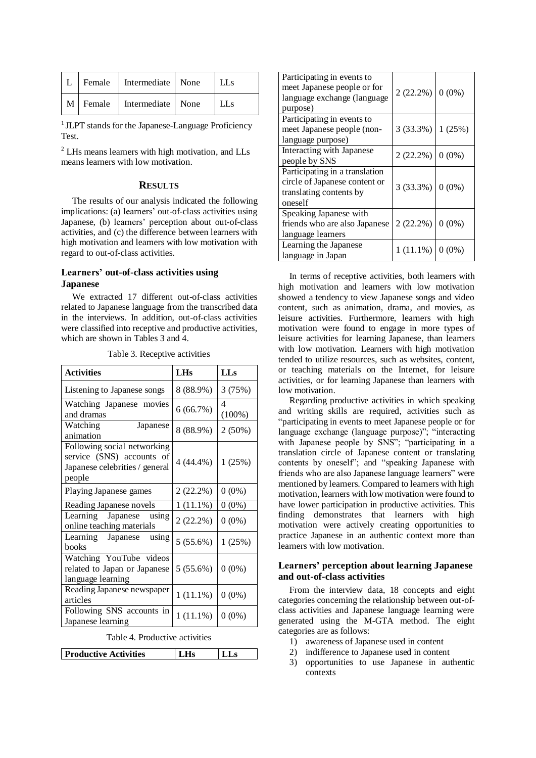| L Female | Intermediate None | LL <sub>S</sub> |
|----------|-------------------|-----------------|
| M Female | Intermediate None | l LLs           |

<sup>1</sup> JLPT stands for the Japanese-Language Proficiency Test.

<sup>2</sup> LHs means learners with high motivation, and LLs means learners with low motivation.

# **RESULTS**

The results of our analysis indicated the following implications: (a) learners' out-of-class activities using Japanese, (b) learners' perception about out-of-class activities, and (c) the difference between learners with high motivation and learners with low motivation with regard to out-of-class activities.

## **Learners' out-of-class activities using Japanese**

We extracted 17 different out-of-class activities related to Japanese language from the transcribed data in the interviews. In addition, out-of-class activities were classified into receptive and productive activities. which are shown in Tables 3 and 4.

| <b>Activities</b>                                                                                    | <b>LHs</b>  | <b>LLs</b>     |
|------------------------------------------------------------------------------------------------------|-------------|----------------|
| Listening to Japanese songs                                                                          | 8 (88.9%)   | 3 (75%)        |
| Watching Japanese movies<br>and dramas                                                               | 6(66.7%)    | 4<br>$(100\%)$ |
| Watching<br>Japanese<br>animation                                                                    | 8 (88.9%)   | $2(50\%)$      |
| Following social networking<br>service (SNS) accounts of<br>Japanese celebrities / general<br>people | $4(44.4\%)$ | 1(25%)         |
| Playing Japanese games                                                                               | 2(22.2%)    | $0(0\%)$       |
| Reading Japanese novels                                                                              | 1(11.1%)    | $0(0\%)$       |
| Learning Japanese using<br>online teaching materials                                                 | 2(22.2%)    | $0(0\%)$       |
| Learning Japanese<br>using<br>books                                                                  | 5(55.6%)    | 1(25%)         |
| Watching YouTube videos<br>related to Japan or Japanese<br>language learning                         | 5(55.6%)    | $0(0\%)$       |
| Reading Japanese newspaper<br>articles                                                               | $1(11.1\%)$ | $0(0\%)$       |
| Following SNS accounts in<br>Japanese learning                                                       | $1(11.1\%)$ | $0(0\%)$       |

Table 3. Receptive activities

Table 4. Productive activities

| <b>Productive Activities</b> | LH <sub>s</sub> | <b>LLs</b> |
|------------------------------|-----------------|------------|
|                              |                 |            |

| Participating in events to<br>meet Japanese people or for<br>language exchange (language<br>purpose)  | $2(22.2\%)$        | $0(0\%)$ |
|-------------------------------------------------------------------------------------------------------|--------------------|----------|
| Participating in events to<br>meet Japanese people (non-<br>language purpose)                         | 3(33.3%)           | 1(25%)   |
| Interacting with Japanese<br>people by SNS                                                            | $2(22.2\%)$        | $0(0\%)$ |
| Participating in a translation<br>circle of Japanese content or<br>translating contents by<br>oneself | $3(33.3\%)$ 0 (0%) |          |
| Speaking Japanese with<br>friends who are also Japanese<br>language learners                          | 2(22.2%)           | $0(0\%)$ |
| Learning the Japanese<br>language in Japan                                                            | $1(11.1\%)$        | $0(0\%)$ |

In terms of receptive activities, both learners with high motivation and learners with low motivation showed a tendency to view Japanese songs and video content, such as animation, drama, and movies, as leisure activities. Furthermore, learners with high motivation were found to engage in more types of leisure activities for learning Japanese, than learners with low motivation. Learners with high motivation tended to utilize resources, such as websites, content, or teaching materials on the Internet, for leisure activities, or for learning Japanese than learners with low motivation.

Regarding productive activities in which speaking and writing skills are required, activities such as "participating in events to meet Japanese people or for language exchange (language purpose)"; "interacting with Japanese people by SNS"; "participating in a translation circle of Japanese content or translating contents by oneself"; and "speaking Japanese with friends who are also Japanese language learners" were mentioned by learners. Compared to learners with high motivation, learners with low motivation were found to have lower participation in productive activities. This finding demonstrates that learners with high motivation were actively creating opportunities to practice Japanese in an authentic context more than learners with low motivation.

# **Learners' perception about learning Japanese and out-of-class activities**

From the interview data, 18 concepts and eight categories concerning the relationship between out-ofclass activities and Japanese language learning were generated using the M-GTA method. The eight categories are as follows:

- 1) awareness of Japanese used in content
- 2) indifference to Japanese used in content
- 3) opportunities to use Japanese in authentic contexts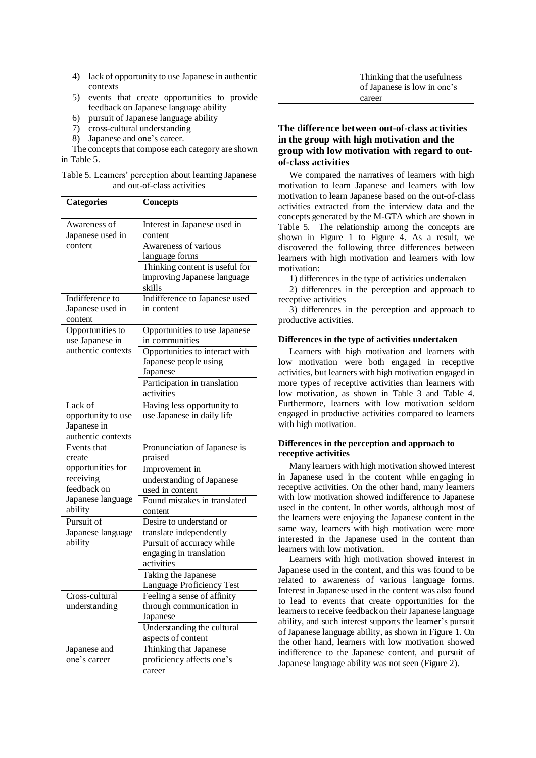- 4) lack of opportunity to use Japanese in authentic contexts
- 5) events that create opportunities to provide feedback on Japanese language ability
- 6) pursuit of Japanese language ability
- 7) cross-cultural understanding
- 8) Japanese and one's career.

The concepts that compose each category are shown in Table 5.

| Table 5. Learners' perception about learning Japanese |
|-------------------------------------------------------|
| and out-of-class activities                           |

| <b>Categories</b>  | <b>Concepts</b>                |
|--------------------|--------------------------------|
| Awareness of       | Interest in Japanese used in   |
| Japanese used in   | content                        |
| content            | Awareness of various           |
|                    | language forms                 |
|                    | Thinking content is useful for |
|                    | improving Japanese language    |
|                    | skills                         |
| Indifference to    | Indifference to Japanese used  |
| Japanese used in   | in content                     |
| content            |                                |
| Opportunities to   | Opportunities to use Japanese  |
| use Japanese in    | in communities                 |
| authentic contexts | Opportunities to interact with |
|                    | Japanese people using          |
|                    | Japanese                       |
|                    | Participation in translation   |
|                    | activities                     |
| Lack of            | Having less opportunity to     |
| opportunity to use | use Japanese in daily life     |
| Japanese in        |                                |
| authentic contexts |                                |
| Events that        | Pronunciation of Japanese is   |
| create             | praised                        |
| opportunities for  | Improvement in                 |
| receiving          | understanding of Japanese      |
| feedback on        | used in content                |
| Japanese language  | Found mistakes in translated   |
| ability            | content                        |
| Pursuit of         | Desire to understand or        |
| Japanese language  | translate independently        |
| ability            | Pursuit of accuracy while      |
|                    | engaging in translation        |
|                    | activities                     |
|                    | Taking the Japanese            |
|                    | Language Proficiency Test      |
| Cross-cultural     | Feeling a sense of affinity    |
| understanding      | through communication in       |
|                    | Japanese                       |
|                    | Understanding the cultural     |
|                    | aspects of content             |
| Japanese and       | Thinking that Japanese         |
| one's career       | proficiency affects one's      |
|                    |                                |
|                    | career                         |

| Thinking that the usefulness |
|------------------------------|
| of Japanese is low in one's  |
| career                       |

# **The difference between out-of-class activities in the group with high motivation and the group with low motivation with regard to outof-class activities**

We compared the narratives of learners with high motivation to learn Japanese and learners with low motivation to learn Japanese based on the out-of-class activities extracted from the interview data and the concepts generated by the M-GTA which are shown in Table 5. The relationship among the concepts are shown in Figure 1 to Figure 4. As a result, we discovered the following three differences between learners with high motivation and learners with low motivation:

1) differences in the type of activities undertaken

2) differences in the perception and approach to receptive activities

3) differences in the perception and approach to productive activities.

### **Differences in the type of activities undertaken**

Learners with high motivation and learners with low motivation were both engaged in receptive activities, but learners with high motivation engaged in more types of receptive activities than learners with low motivation, as shown in Table 3 and Table 4. Furthermore, learners with low motivation seldom engaged in productive activities compared to learners with high motivation.

### **Differences in the perception and approach to receptive activities**

Many learners with high motivation showed interest in Japanese used in the content while engaging in receptive activities. On the other hand, many learners with low motivation showed indifference to Japanese used in the content. In other words, although most of the learners were enjoying the Japanese content in the same way, learners with high motivation were more interested in the Japanese used in the content than learners with low motivation.

Learners with high motivation showed interest in Japanese used in the content, and this was found to be related to awareness of various language forms. Interest in Japanese used in the content was also found to lead to events that create opportunities for the learners to receive feedback on their Japanese language ability, and such interest supports the learner's pursuit of Japanese language ability, as shown in Figure 1. On the other hand, learners with low motivation showed indifference to the Japanese content, and pursuit of Japanese language ability was not seen (Figure 2).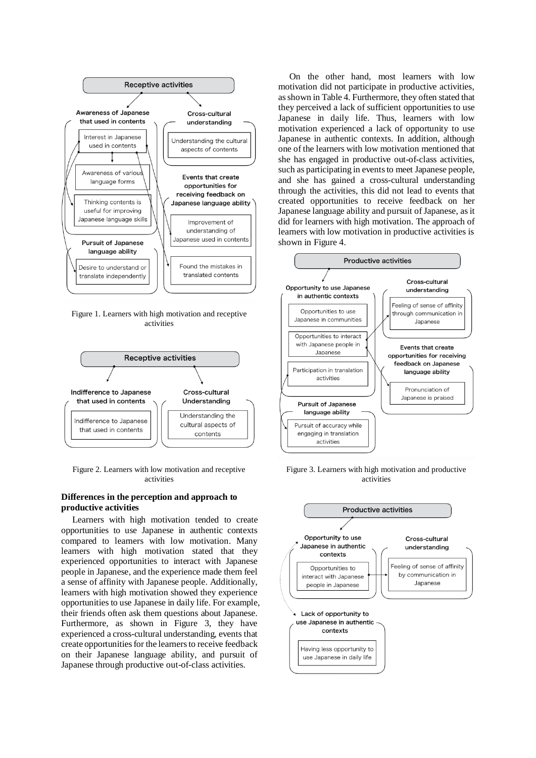

Figure 1. Learners with high motivation and receptive activities



Figure 2. Learners with low motivation and receptive activities

## **Differences in the perception and approach to productive activities**

Learners with high motivation tended to create opportunities to use Japanese in authentic contexts compared to learners with low motivation. Many learners with high motivation stated that they experienced opportunities to interact with Japanese people in Japanese, and the experience made them feel a sense of affinity with Japanese people. Additionally, learners with high motivation showed they experience opportunities to use Japanese in daily life. For example, their friends often ask them questions about Japanese. Furthermore, as shown in Figure 3, they have experienced a cross-cultural understanding, events that create opportunities for the learners to receive feedback on their Japanese language ability, and pursuit of Japanese through productive out-of-class activities.

On the other hand, most learners with low motivation did not participate in productive activities, as shown in Table 4. Furthermore, they often stated that they perceived a lack of sufficient opportunities to use Japanese in daily life. Thus, learners with low motivation experienced a lack of opportunity to use Japanese in authentic contexts. In addition, although one of the learners with low motivation mentioned that she has engaged in productive out-of-class activities, such as participating in events to meet Japanese people, and she has gained a cross-cultural understanding through the activities, this did not lead to events that created opportunities to receive feedback on her Japanese language ability and pursuit of Japanese, as it did for learners with high motivation. The approach of learners with low motivation in productive activities is shown in Figure 4.



Figure 3. Learners with high motivation and productive activities

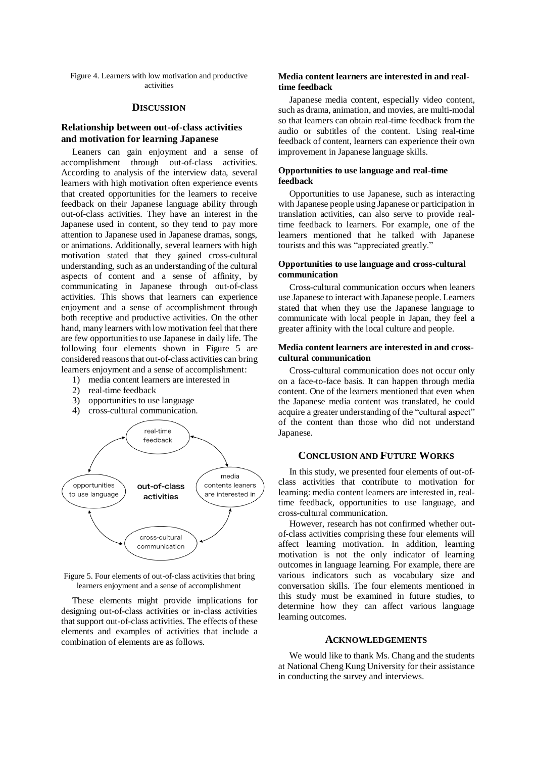Figure 4. Learners with low motivation and productive activities

#### **DISCUSSION**

## **Relationship between out-of-class activities and motivation for learning Japanese**

Leaners can gain enjoyment and a sense of accomplishment through out-of-class activities. According to analysis of the interview data, several learners with high motivation often experience events that created opportunities for the learners to receive feedback on their Japanese language ability through out-of-class activities. They have an interest in the Japanese used in content, so they tend to pay more attention to Japanese used in Japanese dramas, songs, or animations. Additionally, several learners with high motivation stated that they gained cross-cultural understanding, such as an understanding of the cultural aspects of content and a sense of affinity, by communicating in Japanese through out-of-class activities. This shows that learners can experience enjoyment and a sense of accomplishment through both receptive and productive activities. On the other hand, many learners with low motivation feel that there are few opportunities to use Japanese in daily life. The following four elements shown in Figure 5 are considered reasonsthat out-of-class activities can bring learners enjoyment and a sense of accomplishment:

- 1) media content learners are interested in
- 2) real-time feedback
- 3) opportunities to use language
- 4) cross-cultural communication.



Figure 5. Four elements of out-of-class activities that bring learners enjoyment and a sense of accomplishment

These elements might provide implications for designing out-of-class activities or in-class activities that support out-of-class activities. The effects of these elements and examples of activities that include a combination of elements are as follows.

### **Media content learners are interested in and realtime feedback**

Japanese media content, especially video content, such as drama, animation, and movies, are multi-modal so that learners can obtain real-time feedback from the audio or subtitles of the content. Using real-time feedback of content, learners can experience their own improvement in Japanese language skills.

### **Opportunities to use language and real-time feedback**

Opportunities to use Japanese, such as interacting with Japanese people using Japanese or participation in translation activities, can also serve to provide realtime feedback to learners. For example, one of the learners mentioned that he talked with Japanese tourists and this was "appreciated greatly."

### **Opportunities to use language and cross-cultural communication**

Cross-cultural communication occurs when leaners use Japanese to interact with Japanese people. Learners stated that when they use the Japanese language to communicate with local people in Japan, they feel a greater affinity with the local culture and people.

### **Media content learners are interested in and crosscultural communication**

Cross-cultural communication does not occur only on a face-to-face basis. It can happen through media content. One of the learners mentioned that even when the Japanese media content was translated, he could acquire a greater understanding of the "cultural aspect" of the content than those who did not understand Japanese.

## **CONCLUSION AND FUTURE WORKS**

In this study, we presented four elements of out-ofclass activities that contribute to motivation for learning: media content learners are interested in, realtime feedback, opportunities to use language, and cross-cultural communication.

However, research has not confirmed whether outof-class activities comprising these four elements will affect learning motivation. In addition, learning motivation is not the only indicator of learning outcomes in language learning. For example, there are various indicators such as vocabulary size and conversation skills. The four elements mentioned in this study must be examined in future studies, to determine how they can affect various language learning outcomes.

#### **ACKNOWLEDGEMENTS**

We would like to thank Ms. Chang and the students at National Cheng Kung University for their assistance in conducting the survey and interviews.